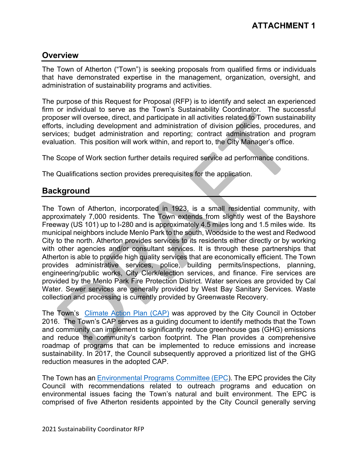## **Overview**

The Town of Atherton ("Town") is seeking proposals from qualified firms or individuals that have demonstrated expertise in the management, organization, oversight, and administration of sustainability programs and activities.

The purpose of this Request for Proposal (RFP) is to identify and select an experienced firm or individual to serve as the Town's Sustainability Coordinator. The successful proposer will oversee, direct, and participate in all activities related to Town sustainability efforts, including development and administration of division policies, procedures, and services; budget administration and reporting; contract administration and program evaluation. This position will work within, and report to, the City Manager's office.

The Scope of Work section further details required service ad performance conditions.

The Qualifications section provides prerequisites for the application.

## **Background**

The Town of Atherton, incorporated in 1923, is a small residential community, with approximately 7,000 residents. The Town extends from slightly west of the Bayshore Freeway (US 101) up to I-280 and is approximately 4.5 miles long and 1.5 miles wide. Its municipal neighbors include Menlo Park to the south, Woodside to the west and Redwood City to the north. Atherton provides services to its residents either directly or by working with other agencies and/or consultant services. It is through these partnerships that Atherton is able to provide high quality services that are economically efficient. The Town provides administrative services, police, building permits/inspections, planning, engineering/public works, City Clerk/election services, and finance. Fire services are provided by the Menlo Park Fire Protection District. Water services are provided by Cal Water. Sewer services are generally provided by West Bay Sanitary Services. Waste collection and processing is currently provided by Greenwaste Recovery.

The Town's [Climate Action Plan \(CAP\)](https://www.ci.atherton.ca.us/DocumentCenter/View/3535/CAP-Admin-Draft-ATT-2-10-19-16-FINAL-ADMIN-DRAFT-002?bidId=) was approved by the City Council in October 2016. The Town's CAP serves as a guiding document to identify methods that the Town and community can implement to significantly reduce greenhouse gas (GHG) emissions and reduce the community's carbon footprint. The Plan provides a comprehensive roadmap of programs that can be implemented to reduce emissions and increase sustainability. In 2017, the Council subsequently approved a prioritized list of the GHG reduction measures in the adopted CAP.

The Town has an [Environmental Programs Committee \(EPC\)](https://www.ci.atherton.ca.us/141/Environmental-Programs-Committee). The EPC provides the City Council with recommendations related to outreach programs and education on environmental issues facing the Town's natural and built environment. The EPC is comprised of five Atherton residents appointed by the City Council generally serving